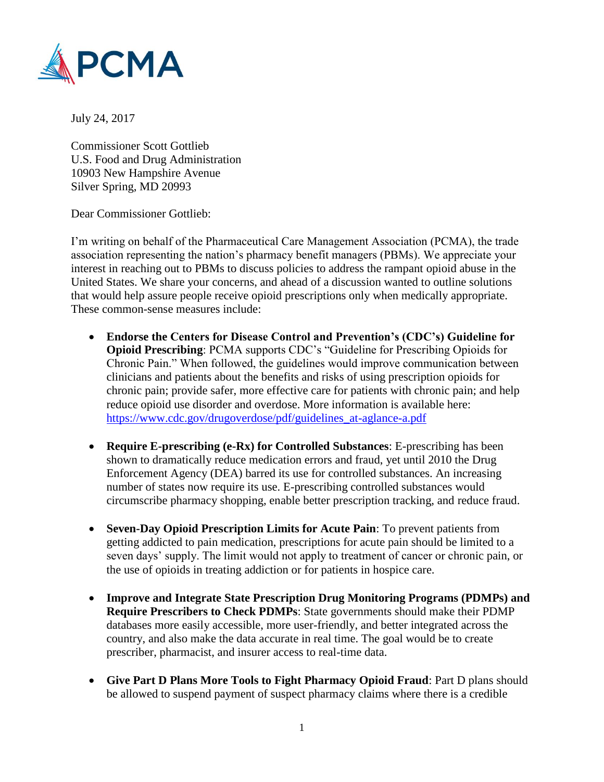

July 24, 2017

Commissioner Scott Gottlieb U.S. Food and Drug Administration 10903 New Hampshire Avenue Silver Spring, MD 20993

Dear Commissioner Gottlieb:

I'm writing on behalf of the Pharmaceutical Care Management Association (PCMA), the trade association representing the nation's pharmacy benefit managers (PBMs). We appreciate your interest in reaching out to PBMs to discuss policies to address the rampant opioid abuse in the United States. We share your concerns, and ahead of a discussion wanted to outline solutions that would help assure people receive opioid prescriptions only when medically appropriate. These common-sense measures include:

- **Endorse the Centers for Disease Control and Prevention's (CDC's) Guideline for Opioid Prescribing**: PCMA supports CDC's "Guideline for Prescribing Opioids for Chronic Pain." When followed, the guidelines would improve communication between clinicians and patients about the benefits and risks of using prescription opioids for chronic pain; provide safer, more effective care for patients with chronic pain; and help reduce opioid use disorder and overdose. More information is available here: [https://www.cdc.gov/drugoverdose/pdf/guidelines\\_at-aglance-a.pdf](https://www.cdc.gov/drugoverdose/pdf/guidelines_at-aglance-a.pdf)
- **Require E-prescribing (e-Rx) for Controlled Substances**: E-prescribing has been shown to dramatically reduce medication errors and fraud, yet until 2010 the Drug Enforcement Agency (DEA) barred its use for controlled substances. An increasing number of states now require its use. E-prescribing controlled substances would circumscribe pharmacy shopping, enable better prescription tracking, and reduce fraud.
- **Seven-Day Opioid Prescription Limits for Acute Pain**: To prevent patients from getting addicted to pain medication, prescriptions for acute pain should be limited to a seven days' supply. The limit would not apply to treatment of cancer or chronic pain, or the use of opioids in treating addiction or for patients in hospice care.
- **Improve and Integrate State Prescription Drug Monitoring Programs (PDMPs) and Require Prescribers to Check PDMPs**: State governments should make their PDMP databases more easily accessible, more user-friendly, and better integrated across the country, and also make the data accurate in real time. The goal would be to create prescriber, pharmacist, and insurer access to real-time data.
- **Give Part D Plans More Tools to Fight Pharmacy Opioid Fraud**: Part D plans should be allowed to suspend payment of suspect pharmacy claims where there is a credible